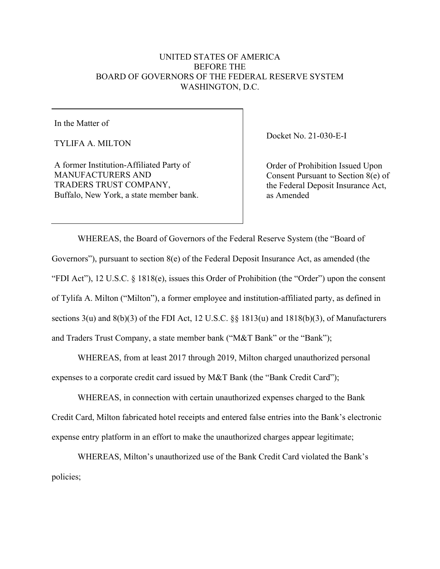## UNITED STATES OF AMERICA BEFORE THE BOARD OF GOVERNORS OF THE FEDERAL RESERVE SYSTEM WASHINGTON, D.C.

In the Matter of

TYLIFA A. MILTON

A former Institution-Affiliated Party of MANUFACTURERS AND TRADERS TRUST COMPANY, Buffalo, New York, a state member bank. Docket No. 21-030-E-I

Order of Prohibition Issued Upon Consent Pursuant to Section 8(e) of the Federal Deposit Insurance Act, as Amended

WHEREAS, the Board of Governors of the Federal Reserve System (the "Board of Governors"), pursuant to section 8(e) of the Federal Deposit Insurance Act, as amended (the "FDI Act"), 12 U.S.C. § 1818(e), issues this Order of Prohibition (the "Order") upon the consent of Tylifa A. Milton ("Milton"), a former employee and institution-affiliated party, as defined in sections 3(u) and 8(b)(3) of the FDI Act, 12 U.S.C. §§ 1813(u) and 1818(b)(3), of Manufacturers and Traders Trust Company, a state member bank ("M&T Bank" or the "Bank");

WHEREAS, from at least 2017 through 2019, Milton charged unauthorized personal expenses to a corporate credit card issued by M&T Bank (the "Bank Credit Card");

WHEREAS, in connection with certain unauthorized expenses charged to the Bank Credit Card, Milton fabricated hotel receipts and entered false entries into the Bank's electronic expense entry platform in an effort to make the unauthorized charges appear legitimate;

WHEREAS, Milton's unauthorized use of the Bank Credit Card violated the Bank's policies;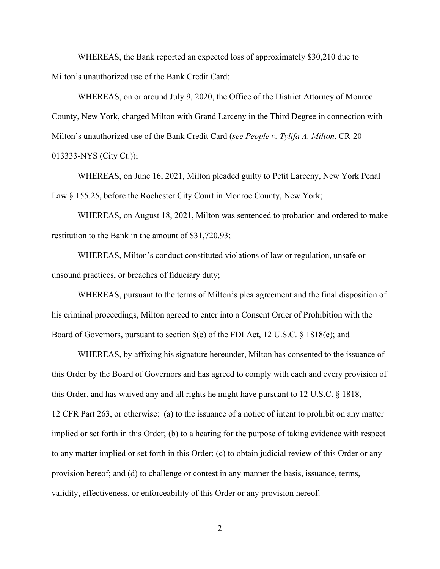WHEREAS, the Bank reported an expected loss of approximately \$30,210 due to Milton's unauthorized use of the Bank Credit Card;

WHEREAS, on or around July 9, 2020, the Office of the District Attorney of Monroe County, New York, charged Milton with Grand Larceny in the Third Degree in connection with Milton's unauthorized use of the Bank Credit Card (*see People v. Tylifa A. Milton*, CR-20- 013333-NYS (City Ct.));

WHEREAS, on June 16, 2021, Milton pleaded guilty to Petit Larceny, New York Penal Law § 155.25, before the Rochester City Court in Monroe County, New York;

WHEREAS, on August 18, 2021, Milton was sentenced to probation and ordered to make restitution to the Bank in the amount of \$31,720.93;

WHEREAS, Milton's conduct constituted violations of law or regulation, unsafe or unsound practices, or breaches of fiduciary duty;

WHEREAS, pursuant to the terms of Milton's plea agreement and the final disposition of his criminal proceedings, Milton agreed to enter into a Consent Order of Prohibition with the Board of Governors, pursuant to section 8(e) of the FDI Act, 12 U.S.C. § 1818(e); and

WHEREAS, by affixing his signature hereunder, Milton has consented to the issuance of this Order by the Board of Governors and has agreed to comply with each and every provision of this Order, and has waived any and all rights he might have pursuant to 12 U.S.C. § 1818, 12 CFR Part 263, or otherwise: (a) to the issuance of a notice of intent to prohibit on any matter implied or set forth in this Order; (b) to a hearing for the purpose of taking evidence with respect to any matter implied or set forth in this Order; (c) to obtain judicial review of this Order or any provision hereof; and (d) to challenge or contest in any manner the basis, issuance, terms, validity, effectiveness, or enforceability of this Order or any provision hereof.

2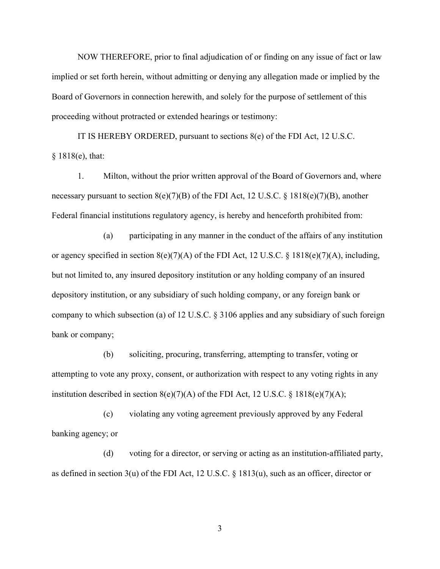NOW THEREFORE, prior to final adjudication of or finding on any issue of fact or law implied or set forth herein, without admitting or denying any allegation made or implied by the Board of Governors in connection herewith, and solely for the purpose of settlement of this proceeding without protracted or extended hearings or testimony:

IT IS HEREBY ORDERED, pursuant to sections  $8(e)$  of the FDI Act, 12 U.S.C. § 1818(e), that:

1. Milton, without the prior written approval of the Board of Governors and, where necessary pursuant to section  $8(e)(7)(B)$  of the FDI Act, 12 U.S.C. § 1818(e)(7)(B), another Federal financial institutions regulatory agency, is hereby and henceforth prohibited from:

(a) participating in any manner in the conduct of the affairs of any institution or agency specified in section 8(e)(7)(A) of the FDI Act, 12 U.S.C. § 1818(e)(7)(A), including, but not limited to, any insured depository institution or any holding company of an insured depository institution, or any subsidiary of such holding company, or any foreign bank or company to which subsection (a) of 12 U.S.C. § 3106 applies and any subsidiary of such foreign bank or company;

(b) soliciting, procuring, transferring, attempting to transfer, voting or attempting to vote any proxy, consent, or authorization with respect to any voting rights in any institution described in section  $8(e)(7)(A)$  of the FDI Act, 12 U.S.C. § 1818(e)(7)(A);

(c) violating any voting agreement previously approved by any Federal banking agency; or

(d) voting for a director, or serving or acting as an institution-affiliated party, as defined in section 3(u) of the FDI Act, 12 U.S.C. § 1813(u), such as an officer, director or

3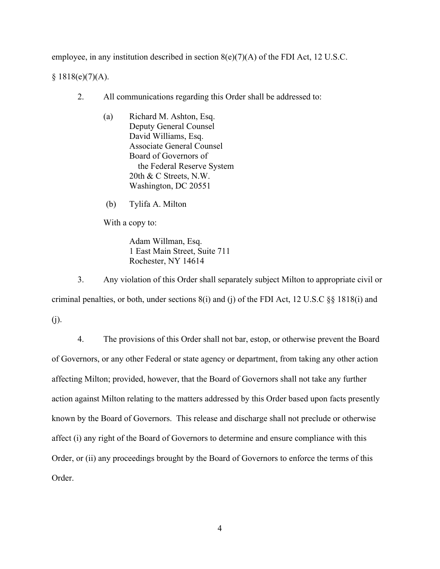employee, in any institution described in section 8(e)(7)(A) of the FDI Act, 12 U.S.C.

 $§ 1818(e)(7)(A).$ 

- 2. All communications regarding this Order shall be addressed to:
	- (a) Richard M. Ashton, Esq. Deputy General Counsel David Williams, Esq. Associate General Counsel Board of Governors of the Federal Reserve System 20th & C Streets, N.W. Washington, DC 20551
	- (b) Tylifa A. Milton

With a copy to:

Adam Willman, Esq. 1 East Main Street, Suite 711 Rochester, NY 14614

3. Any violation of this Order shall separately subject Milton to appropriate civil or criminal penalties, or both, under sections 8(i) and (j) of the FDI Act, 12 U.S.C §§ 1818(i) and (j).

4. The provisions of this Order shall not bar, estop, or otherwise prevent the Board of Governors, or any other Federal or state agency or department, from taking any other action affecting Milton; provided, however, that the Board of Governors shall not take any further action against Milton relating to the matters addressed by this Order based upon facts presently known by the Board of Governors. This release and discharge shall not preclude or otherwise affect (i) any right of the Board of Governors to determine and ensure compliance with this Order, or (ii) any proceedings brought by the Board of Governors to enforce the terms of this Order.